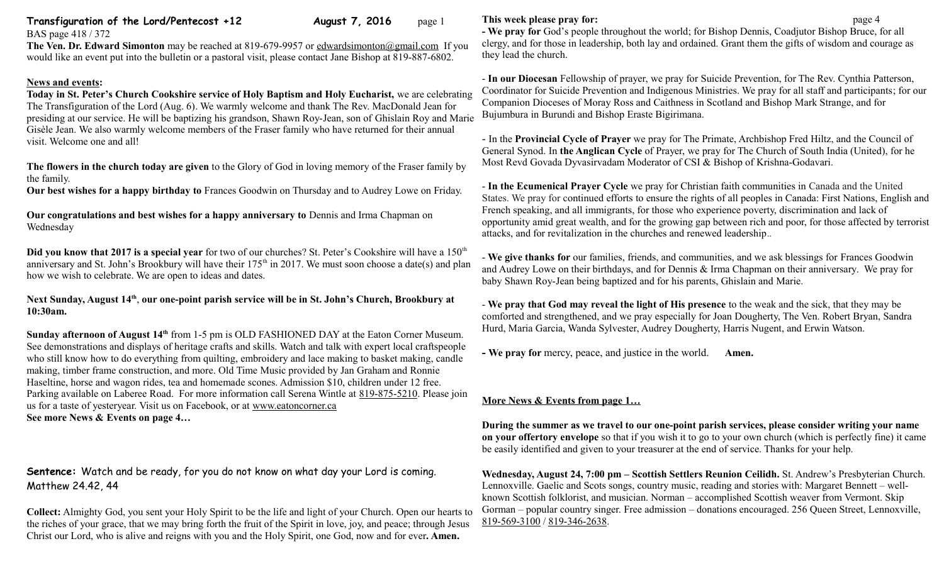### **Transfiguration of the Lord/Pentecost +12** August 7, 2016 page 1 BAS page 418 / 372

**The Ven. Dr. Edward Simonton** may be reached at 819-679-9957 or [edwardsimonton@gmail.com](mailto:edwardsimonton@gmail.com) If you would like an event put into the bulletin or a pastoral visit, please contact Jane Bishop at 819-887-6802.

## **News and events:**

**Today in St. Peter's Church Cookshire service of Holy Baptism and Holy Eucharist,** we are celebrating The Transfiguration of the Lord (Aug. 6). We warmly welcome and thank The Rev. MacDonald Jean for presiding at our service. He will be baptizing his grandson, Shawn Roy-Jean, son of Ghislain Roy and Marie Gisèle Jean. We also warmly welcome members of the Fraser family who have returned for their annual visit. Welcome one and all!

**The flowers in the church today are given** to the Glory of God in loving memory of the Fraser family by the family.

**Our best wishes for a happy birthday to** Frances Goodwin on Thursday and to Audrey Lowe on Friday.

**Our congratulations and best wishes for a happy anniversary to** Dennis and Irma Chapman on Wednesday

**Did you know that 2017 is a special year** for two of our churches? St. Peter's Cookshire will have a 150<sup>th</sup> anniversary and St. John's Brookbury will have their  $175<sup>th</sup>$  in 2017. We must soon choose a date(s) and plan how we wish to celebrate. We are open to ideas and dates.

**Next Sunday, August 14th** , **our one-point parish service will be in St. John's Church, Brookbury at 10:30am.**

**Sunday afternoon of August 14th** from 1-5 pm is OLD FASHIONED DAY at the Eaton Corner Museum. See demonstrations and displays of heritage crafts and skills. Watch and talk with expert local craftspeople who still know how to do everything from quilting, embroidery and lace making to basket making, candle making, timber frame construction, and more. Old Time Music provided by Jan Graham and Ronnie Haseltine, horse and wagon rides, tea and homemade scones. Admission \$10, children under 12 free. Parking available on Laberee Road. For more information call Serena Wintle at [819-875-5210.](tel:819-875-5210) Please join us for a taste of yesteryear. Visit us on Facebook, or at [www.eatoncorner.ca](http://www.eatoncorner.ca/)  **See more News & Events on page 4…**

# **Sentence:** Watch and be ready, for you do not know on what day your Lord is coming. Matthew 24.42, 44

**Collect:** Almighty God, you sent your Holy Spirit to be the life and light of your Church. Open our hearts to the riches of your grace, that we may bring forth the fruit of the Spirit in love, joy, and peace; through Jesus Christ our Lord, who is alive and reigns with you and the Holy Spirit, one God, now and for ever**. Amen.**

## **This week please pray for: page 4**

**- We pray for** God's people throughout the world; for Bishop Dennis, Coadjutor Bishop Bruce, for all clergy, and for those in leadership, both lay and ordained. Grant them the gifts of wisdom and courage as they lead the church.

- **In our Diocesan** Fellowship of prayer, we pray for Suicide Prevention, for The Rev. Cynthia Patterson, Coordinator for Suicide Prevention and Indigenous Ministries. We pray for all staff and participants; for our Companion Dioceses of Moray Ross and Caithness in Scotland and Bishop Mark Strange, and for Bujumbura in Burundi and Bishop Eraste Bigirimana.

- In the **Provincial Cycle of Prayer** we pray for The Primate, Archbishop Fred Hiltz, and the Council of General Synod. In **the Anglican Cycle** of Prayer, we pray for The Church of South India (United), for he Most Revd Govada Dyvasirvadam Moderator of CSI & Bishop of Krishna-Godavari.

- **In the Ecumenical Prayer Cycle** we pray for Christian faith communities in Canada and the United States. We pray for continued efforts to ensure the rights of all peoples in Canada: First Nations, English and French speaking, and all immigrants, for those who experience poverty, discrimination and lack of opportunity amid great wealth, and for the growing gap between rich and poor, for those affected by terrorist attacks, and for revitalization in the churches and renewed leadership..

- **We give thanks for** our families, friends, and communities, and we ask blessings for Frances Goodwin and Audrey Lowe on their birthdays, and for Dennis & Irma Chapman on their anniversary. We pray for baby Shawn Roy-Jean being baptized and for his parents, Ghislain and Marie.

- **We pray that God may reveal the light of His presence** to the weak and the sick, that they may be comforted and strengthened, and we pray especially for Joan Dougherty, The Ven. Robert Bryan, Sandra Hurd, Maria Garcia, Wanda Sylvester, Audrey Dougherty, Harris Nugent, and Erwin Watson.

**- We pray for** mercy, peace, and justice in the world. **Amen.**

## **More News & Events from page 1…**

**During the summer as we travel to our one-point parish services, please consider writing your name on your offertory envelope** so that if you wish it to go to your own church (which is perfectly fine) it came be easily identified and given to your treasurer at the end of service. Thanks for your help.

**Wednesday, August 24, 7:00 pm – Scottish Settlers Reunion Ceilidh.** St. Andrew's Presbyterian Church. Lennoxville. Gaelic and Scots songs, country music, reading and stories with: Margaret Bennett – wellknown Scottish folklorist, and musician. Norman – accomplished Scottish weaver from Vermont. Skip Gorman – popular country singer. Free admission – donations encouraged. 256 Queen Street, Lennoxville, [819-569-3100](tel:819-569-3100) / [819-346-2638.](tel:819-346-2638)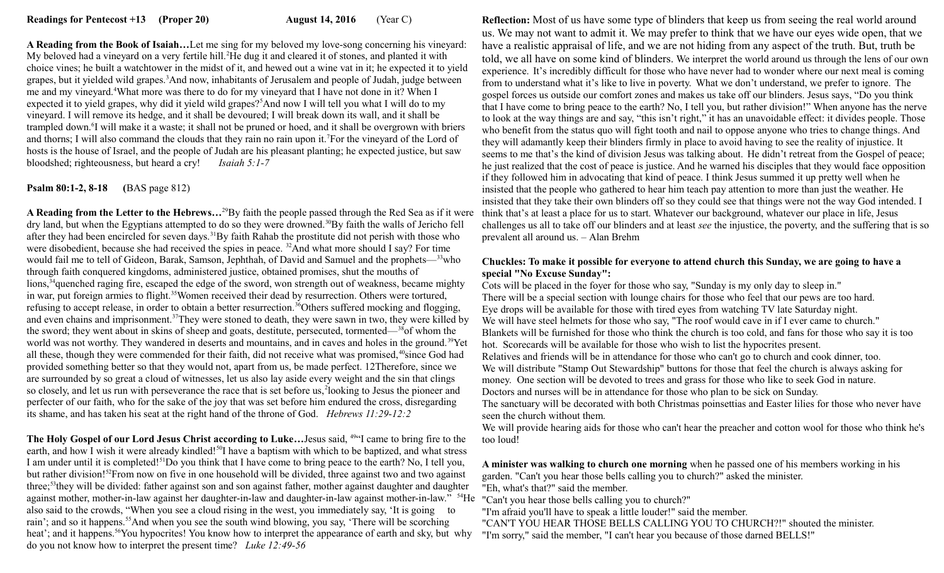**A Reading from the Book of Isaiah…**Let me sing for my beloved my love-song concerning his vineyard: My beloved had a vineyard on a very fertile hill.<sup>2</sup>He dug it and cleared it of stones, and planted it with choice vines; he built a watchtower in the midst of it, and hewed out a wine vat in it; he expected it to yield grapes, but it yielded wild grapes.<sup>3</sup>And now, inhabitants of Jerusalem and people of Judah, judge between me and my vineyard.<sup>4</sup>What more was there to do for my vineyard that I have not done in it? When I expected it to yield grapes, why did it yield wild grapes?<sup>5</sup>And now I will tell you what I will do to my vineyard. I will remove its hedge, and it shall be devoured; I will break down its wall, and it shall be trampled down.<sup>6</sup>I will make it a waste; it shall not be pruned or hoed, and it shall be overgrown with briers and thorns; I will also command the clouds that they rain no rain upon it.<sup>7</sup>For the vineyard of the Lord of hosts is the house of Israel, and the people of Judah are his pleasant planting; he expected justice, but saw bloodshed; righteousness, but heard a cry! *Isaiah 5:1-7* 

## **Psalm 80:1-2, 8-18 (**BAS page 812)

**A Reading from the Letter to the Hebrews…**<sup>29</sup>By faith the people passed through the Red Sea as if it were dry land, but when the Egyptians attempted to do so they were drowned.<sup>30</sup>By faith the walls of Jericho fell after they had been encircled for seven days.<sup>31</sup>By faith Rahab the prostitute did not perish with those who were disobedient, because she had received the spies in peace. <sup>32</sup>And what more should I say? For time would fail me to tell of Gideon, Barak, Samson, Jephthah, of David and Samuel and the prophets—<sup>33</sup>who through faith conquered kingdoms, administered justice, obtained promises, shut the mouths of lions,<sup>34</sup>quenched raging fire, escaped the edge of the sword, won strength out of weakness, became mighty in war, put foreign armies to flight.<sup>35</sup>Women received their dead by resurrection. Others were tortured, refusing to accept release, in order to obtain a better resurrection.<sup>36</sup>Others suffered mocking and flogging, and even chains and imprisonment.<sup>37</sup>They were stoned to death, they were sawn in two, they were killed by the sword; they went about in skins of sheep and goats, destitute, persecuted, tormented—<sup>38</sup>of whom the world was not worthy. They wandered in deserts and mountains, and in caves and holes in the ground.<sup>39</sup>Yet all these, though they were commended for their faith, did not receive what was promised,<sup>40</sup>since God had provided something better so that they would not, apart from us, be made perfect. 12Therefore, since we are surrounded by so great a cloud of witnesses, let us also lay aside every weight and the sin that clings so closely, and let us run with perseverance the race that is set before us, 2looking to Jesus the pioneer and perfecter of our faith, who for the sake of the joy that was set before him endured the cross, disregarding its shame, and has taken his seat at the right hand of the throne of God. *Hebrews 11:29-12:2*

**The Holy Gospel of our Lord Jesus Christ according to Luke…**Jesus said, <sup>49</sup>"I came to bring fire to the earth, and how I wish it were already kindled!<sup>50</sup>I have a baptism with which to be baptized, and what stress I am under until it is completed!<sup>51</sup>Do you think that I have come to bring peace to the earth? No, I tell you, but rather division!<sup>52</sup>From now on five in one household will be divided, three against two and two against three;<sup>53</sup>they will be divided: father against son and son against father, mother against daughter and daughter against mother, mother-in-law against her daughter-in-law and daughter-in-law against mother-in-law." <sup>54</sup>He "Can't you hear those bells calling you to church?" also said to the crowds, "When you see a cloud rising in the west, you immediately say, 'It is going to rain'; and so it happens.<sup>55</sup>And when you see the south wind blowing, you say, 'There will be scorching heat'; and it happens.<sup>56</sup>You hypocrites! You know how to interpret the appearance of earth and sky, but why do you not know how to interpret the present time? *Luke 12:49-56*

**Reflection:** Most of us have some type of blinders that keep us from seeing the real world around us. We may not want to admit it. We may prefer to think that we have our eyes wide open, that we have a realistic appraisal of life, and we are not hiding from any aspect of the truth. But, truth be told, we all have on some kind of blinders. We interpret the world around us through the lens of our own experience. It's incredibly difficult for those who have never had to wonder where our next meal is coming from to understand what it's like to live in poverty. What we don't understand, we prefer to ignore. The gospel forces us outside our comfort zones and makes us take off our blinders. Jesus says, "Do you think that I have come to bring peace to the earth? No, I tell you, but rather division!" When anyone has the nerve to look at the way things are and say, "this isn't right," it has an unavoidable effect: it divides people. Those who benefit from the status quo will fight tooth and nail to oppose anyone who tries to change things. And they will adamantly keep their blinders firmly in place to avoid having to see the reality of injustice. It seems to me that's the kind of division Jesus was talking about. He didn't retreat from the Gospel of peace; he just realized that the cost of peace is justice. And he warned his disciples that they would face opposition if they followed him in advocating that kind of peace. I think Jesus summed it up pretty well when he insisted that the people who gathered to hear him teach pay attention to more than just the weather. He insisted that they take their own blinders off so they could see that things were not the way God intended. I think that's at least a place for us to start. Whatever our background, whatever our place in life, Jesus challenges us all to take off our blinders and at least *see* the injustice, the poverty, and the suffering that is so prevalent all around us. – Alan Brehm

#### **Chuckles: To make it possible for everyone to attend church this Sunday, we are going to have a special "No Excuse Sunday":**

Cots will be placed in the foyer for those who say, "Sunday is my only day to sleep in." There will be a special section with lounge chairs for those who feel that our pews are too hard. Eye drops will be available for those with tired eyes from watching TV late Saturday night. We will have steel helmets for those who say, "The roof would cave in if I ever came to church." Blankets will be furnished for those who think the church is too cold, and fans for those who say it is too hot. Scorecards will be available for those who wish to list the hypocrites present. Relatives and friends will be in attendance for those who can't go to church and cook dinner, too. We will distribute "Stamp Out Stewardship" buttons for those that feel the church is always asking for money. One section will be devoted to trees and grass for those who like to seek God in nature. Doctors and nurses will be in attendance for those who plan to be sick on Sunday.

The sanctuary will be decorated with both Christmas poinsettias and Easter lilies for those who never have seen the church without them.

We will provide hearing aids for those who can't hear the preacher and cotton wool for those who think he's too loud!

**A minister was walking to church one morning** when he passed one of his members working in his garden. "Can't you hear those bells calling you to church?" asked the minister.

"Eh, what's that?" said the member.

"I'm afraid you'll have to speak a little louder!" said the member.

"CAN'T YOU HEAR THOSE BELLS CALLING YOU TO CHURCH?!" shouted the minister. "I'm sorry," said the member, "I can't hear you because of those darned BELLS!"